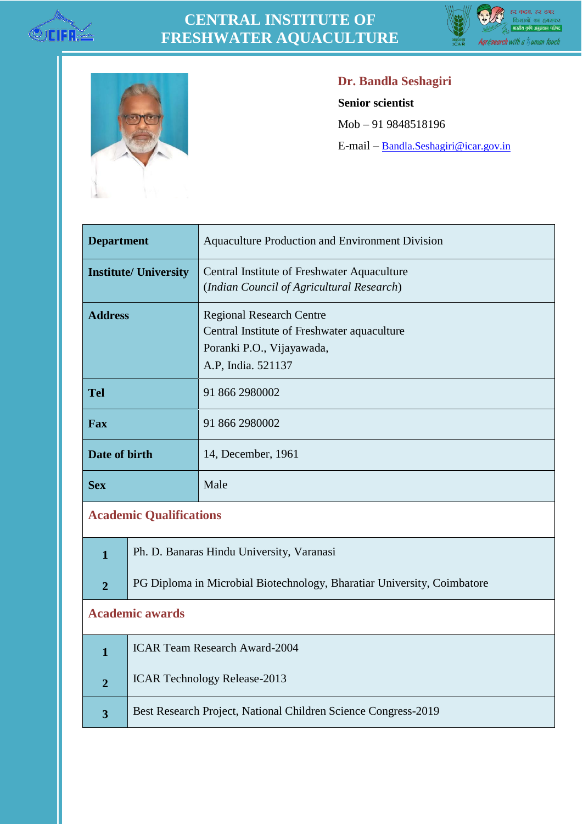

## **CENTRAL INSTITUTE OF FRESHWATER AQUACULTURE**





## **Dr. Bandla Seshagiri**

**Senior scientist**

Mob – 91 9848518196

E-mail – [Bandla.Seshagiri@icar.gov.in](mailto:Bandla.Seshagiri@icar.gov.in)

| <b>Department</b>              |                                                                         | <b>Aquaculture Production and Environment Division</b> |  |
|--------------------------------|-------------------------------------------------------------------------|--------------------------------------------------------|--|
| <b>Institute/ University</b>   |                                                                         | Central Institute of Freshwater Aquaculture            |  |
|                                |                                                                         | (Indian Council of Agricultural Research)              |  |
| <b>Address</b>                 |                                                                         | <b>Regional Research Centre</b>                        |  |
|                                |                                                                         | Central Institute of Freshwater aquaculture            |  |
|                                |                                                                         | Poranki P.O., Vijayawada,                              |  |
|                                |                                                                         | A.P, India. 521137                                     |  |
| <b>Tel</b>                     |                                                                         | 91 866 2980002                                         |  |
| Fax                            |                                                                         | 91 866 2980002                                         |  |
| Date of birth                  |                                                                         | 14, December, 1961                                     |  |
| <b>Sex</b>                     |                                                                         | Male                                                   |  |
| <b>Academic Qualifications</b> |                                                                         |                                                        |  |
| $\mathbf{1}$                   | Ph. D. Banaras Hindu University, Varanasi                               |                                                        |  |
| $\overline{2}$                 | PG Diploma in Microbial Biotechnology, Bharatiar University, Coimbatore |                                                        |  |

## **Academic awards**

|   | <b>ICAR Team Research Award-2004</b>                           |
|---|----------------------------------------------------------------|
| ◠ | <b>ICAR Technology Release-2013</b>                            |
|   | Best Research Project, National Children Science Congress-2019 |